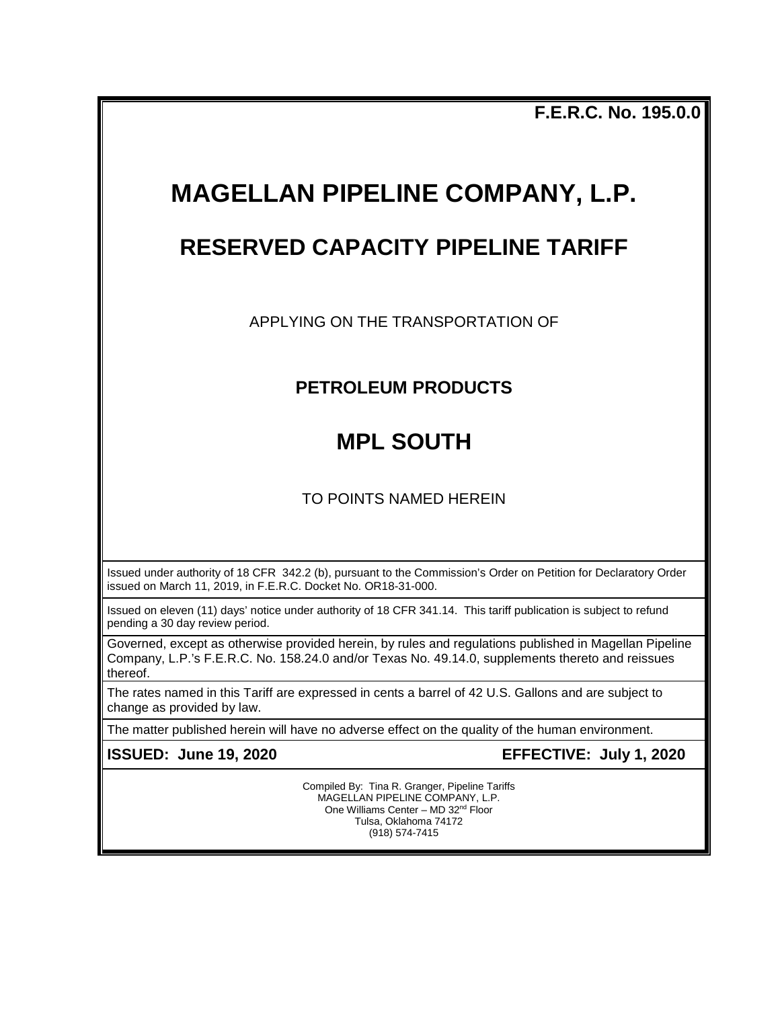**F.E.R.C. No. 195.0.0**

# **MAGELLAN PIPELINE COMPANY, L.P.**

### **RESERVED CAPACITY PIPELINE TARIFF**

APPLYING ON THE TRANSPORTATION OF

### **PETROLEUM PRODUCTS**

## **MPL SOUTH**

TO POINTS NAMED HEREIN

Issued under authority of 18 CFR 342.2 (b), pursuant to the Commission's Order on Petition for Declaratory Order issued on March 11, 2019, in F.E.R.C. Docket No. OR18-31-000.

Issued on eleven (11) days' notice under authority of 18 CFR 341.14. This tariff publication is subject to refund pending a 30 day review period.

Governed, except as otherwise provided herein, by rules and regulations published in Magellan Pipeline Company, L.P.'s F.E.R.C. No. 158.24.0 and/or Texas No. 49.14.0, supplements thereto and reissues thereof.

The rates named in this Tariff are expressed in cents a barrel of 42 U.S. Gallons and are subject to change as provided by law.

The matter published herein will have no adverse effect on the quality of the human environment.

**ISSUED: June 19, 2020 EFFECTIVE: July 1, 2020**

Compiled By: Tina R. Granger, Pipeline Tariffs MAGELLAN PIPELINE COMPANY, L.P. One Williams Center - MD 32<sup>nd</sup> Floor Tulsa, Oklahoma 74172 (918) 574-7415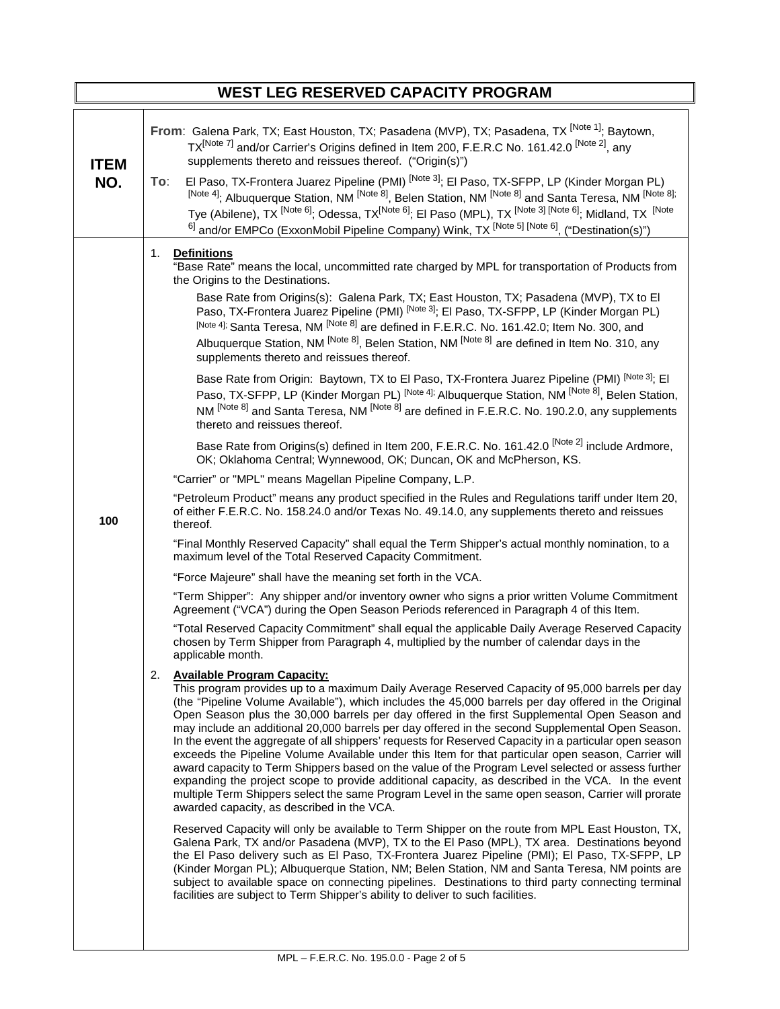|                    | <b>WEST LEG RESERVED CAPACITY PROGRAM</b>                                                                                                                                                                                                                                                                                                                                                                                                                                                                                                                                                                                                                                                                                                                                                                                                                                                                                                                                                                                                                                                                                                                                                                                                                                                                                                                                                                                                                                                                                                                                                                                                                                                                                                                                                                                                                                                                                                                                                                                                                                                                                                                                                                                                                                                                                                                                                                                                                                                                                                                                                                                                                                                                                                                                                                                                                                                                                                                                                                                                                                                                                                                                                                                                                                                                                                                                                                                                                                                                                                                                                                                                                                                                                              |
|--------------------|----------------------------------------------------------------------------------------------------------------------------------------------------------------------------------------------------------------------------------------------------------------------------------------------------------------------------------------------------------------------------------------------------------------------------------------------------------------------------------------------------------------------------------------------------------------------------------------------------------------------------------------------------------------------------------------------------------------------------------------------------------------------------------------------------------------------------------------------------------------------------------------------------------------------------------------------------------------------------------------------------------------------------------------------------------------------------------------------------------------------------------------------------------------------------------------------------------------------------------------------------------------------------------------------------------------------------------------------------------------------------------------------------------------------------------------------------------------------------------------------------------------------------------------------------------------------------------------------------------------------------------------------------------------------------------------------------------------------------------------------------------------------------------------------------------------------------------------------------------------------------------------------------------------------------------------------------------------------------------------------------------------------------------------------------------------------------------------------------------------------------------------------------------------------------------------------------------------------------------------------------------------------------------------------------------------------------------------------------------------------------------------------------------------------------------------------------------------------------------------------------------------------------------------------------------------------------------------------------------------------------------------------------------------------------------------------------------------------------------------------------------------------------------------------------------------------------------------------------------------------------------------------------------------------------------------------------------------------------------------------------------------------------------------------------------------------------------------------------------------------------------------------------------------------------------------------------------------------------------------------------------------------------------------------------------------------------------------------------------------------------------------------------------------------------------------------------------------------------------------------------------------------------------------------------------------------------------------------------------------------------------------------------------------------------------------------------------------------------------------|
| <b>ITEM</b><br>NO. | From: Galena Park, TX; East Houston, TX; Pasadena (MVP), TX; Pasadena, TX <sup>INote 1]</sup> ; Baytown,<br>TX <sup>[Note 7]</sup> and/or Carrier's Origins defined in Item 200, F.E.R.C No. 161.42.0 <sup> [Note 2]</sup> , any<br>supplements thereto and reissues thereof. ("Origin(s)")<br>El Paso, TX-Frontera Juarez Pipeline (PMI) <sup>[Note 3]</sup> ; El Paso, TX-SFPP, LP (Kinder Morgan PL)<br>To:<br>[Note 4]; Albuquerque Station, NM [Note 8], Belen Station, NM [Note 8] and Santa Teresa, NM [Note 8];<br>Tye (Abilene), TX <sup>[Note 6]</sup> ; Odessa, TX <sup>[Note 6]</sup> ; El Paso (MPL), TX <sup>[Note 3] [Note 6]; Midland, TX <sup>[Note</sup></sup><br>6] and/or EMPCo (ExxonMobil Pipeline Company) Wink, TX [Note 5] [Note 6], ("Destination(s)")                                                                                                                                                                                                                                                                                                                                                                                                                                                                                                                                                                                                                                                                                                                                                                                                                                                                                                                                                                                                                                                                                                                                                                                                                                                                                                                                                                                                                                                                                                                                                                                                                                                                                                                                                                                                                                                                                                                                                                                                                                                                                                                                                                                                                                                                                                                                                                                                                                                                                                                                                                                                                                                                                                                                                                                                                                                                                                                                                       |
| 100                | <b>Definitions</b><br>1.<br>"Base Rate" means the local, uncommitted rate charged by MPL for transportation of Products from<br>the Origins to the Destinations.<br>Base Rate from Origins(s): Galena Park, TX; East Houston, TX; Pasadena (MVP), TX to El<br>Paso, TX-Frontera Juarez Pipeline (PMI) [Note 3]; El Paso, TX-SFPP, LP (Kinder Morgan PL)<br>[Note 4]; Santa Teresa, NM [Note 8] are defined in F.E.R.C. No. 161.42.0; Item No. 300, and<br>Albuquerque Station, NM <sup>[Note 8]</sup> , Belen Station, NM <sup>[Note 8]</sup> are defined in Item No. 310, any<br>supplements thereto and reissues thereof.<br>Base Rate from Origin: Baytown, TX to El Paso, TX-Frontera Juarez Pipeline (PMI) [Note 3]; El<br>Paso, TX-SFPP, LP (Kinder Morgan PL) [Note 4]; Albuquerque Station, NM [Note 8], Belen Station,<br>NM [Note 8] and Santa Teresa, NM [Note 8] are defined in F.E.R.C. No. 190.2.0, any supplements<br>thereto and reissues thereof.<br>Base Rate from Origins(s) defined in Item 200, F.E.R.C. No. 161.42.0 <sup> [Note 2]</sup> include Ardmore,<br>OK; Oklahoma Central; Wynnewood, OK; Duncan, OK and McPherson, KS.<br>"Carrier" or "MPL" means Magellan Pipeline Company, L.P.<br>"Petroleum Product" means any product specified in the Rules and Regulations tariff under Item 20,<br>of either F.E.R.C. No. 158.24.0 and/or Texas No. 49.14.0, any supplements thereto and reissues<br>thereof.<br>"Final Monthly Reserved Capacity" shall equal the Term Shipper's actual monthly nomination, to a<br>maximum level of the Total Reserved Capacity Commitment.<br>"Force Majeure" shall have the meaning set forth in the VCA.<br>"Term Shipper": Any shipper and/or inventory owner who signs a prior written Volume Commitment<br>Agreement ("VCA") during the Open Season Periods referenced in Paragraph 4 of this Item.<br>"Total Reserved Capacity Commitment" shall equal the applicable Daily Average Reserved Capacity<br>chosen by Term Shipper from Paragraph 4, multiplied by the number of calendar days in the<br>applicable month.<br>2.<br><b>Available Program Capacity:</b><br>This program provides up to a maximum Daily Average Reserved Capacity of 95,000 barrels per day<br>(the "Pipeline Volume Available"), which includes the 45,000 barrels per day offered in the Original<br>Open Season plus the 30,000 barrels per day offered in the first Supplemental Open Season and<br>may include an additional 20,000 barrels per day offered in the second Supplemental Open Season.<br>In the event the aggregate of all shippers' requests for Reserved Capacity in a particular open season<br>exceeds the Pipeline Volume Available under this Item for that particular open season, Carrier will<br>award capacity to Term Shippers based on the value of the Program Level selected or assess further<br>expanding the project scope to provide additional capacity, as described in the VCA. In the event<br>multiple Term Shippers select the same Program Level in the same open season, Carrier will prorate<br>awarded capacity, as described in the VCA.<br>Reserved Capacity will only be available to Term Shipper on the route from MPL East Houston, TX,<br>Galena Park, TX and/or Pasadena (MVP), TX to the El Paso (MPL), TX area. Destinations beyond<br>the El Paso delivery such as El Paso, TX-Frontera Juarez Pipeline (PMI); El Paso, TX-SFPP, LP<br>(Kinder Morgan PL); Albuquerque Station, NM; Belen Station, NM and Santa Teresa, NM points are<br>subject to available space on connecting pipelines. Destinations to third party connecting terminal<br>facilities are subject to Term Shipper's ability to deliver to such facilities. |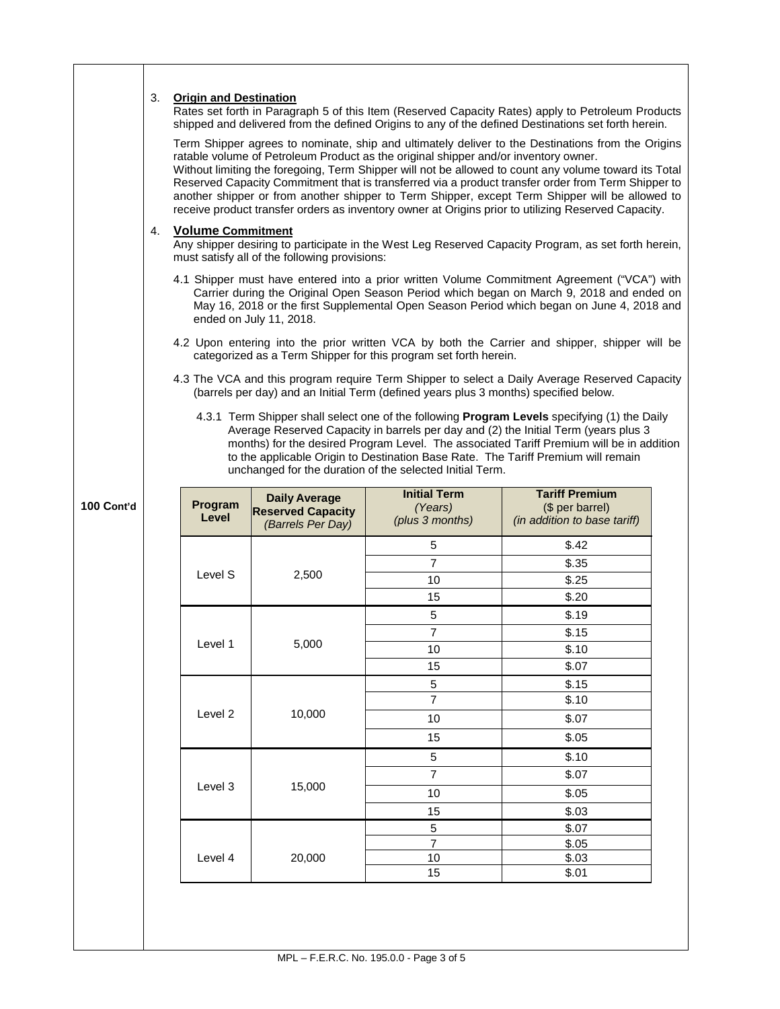|            | 3.<br>4. | <b>Origin and Destination</b><br><b>Volume Commitment</b> | must satisfy all of the following provisions:<br>ended on July 11, 2018. | ratable volume of Petroleum Product as the original shipper and/or inventory owner.<br>categorized as a Term Shipper for this program set forth herein.<br>(barrels per day) and an Initial Term (defined years plus 3 months) specified below.<br>unchanged for the duration of the selected Initial Term. | Rates set forth in Paragraph 5 of this Item (Reserved Capacity Rates) apply to Petroleum Products<br>shipped and delivered from the defined Origins to any of the defined Destinations set forth herein.<br>Term Shipper agrees to nominate, ship and ultimately deliver to the Destinations from the Origins<br>Without limiting the foregoing, Term Shipper will not be allowed to count any volume toward its Total<br>Reserved Capacity Commitment that is transferred via a product transfer order from Term Shipper to<br>another shipper or from another shipper to Term Shipper, except Term Shipper will be allowed to<br>receive product transfer orders as inventory owner at Origins prior to utilizing Reserved Capacity.<br>Any shipper desiring to participate in the West Leg Reserved Capacity Program, as set forth herein,<br>4.1 Shipper must have entered into a prior written Volume Commitment Agreement ("VCA") with<br>Carrier during the Original Open Season Period which began on March 9, 2018 and ended on<br>May 16, 2018 or the first Supplemental Open Season Period which began on June 4, 2018 and<br>4.2 Upon entering into the prior written VCA by both the Carrier and shipper, shipper will be<br>4.3 The VCA and this program require Term Shipper to select a Daily Average Reserved Capacity<br>4.3.1 Term Shipper shall select one of the following Program Levels specifying (1) the Daily<br>Average Reserved Capacity in barrels per day and (2) the Initial Term (years plus 3<br>months) for the desired Program Level. The associated Tariff Premium will be in addition<br>to the applicable Origin to Destination Base Rate. The Tariff Premium will remain |  |
|------------|----------|-----------------------------------------------------------|--------------------------------------------------------------------------|-------------------------------------------------------------------------------------------------------------------------------------------------------------------------------------------------------------------------------------------------------------------------------------------------------------|-----------------------------------------------------------------------------------------------------------------------------------------------------------------------------------------------------------------------------------------------------------------------------------------------------------------------------------------------------------------------------------------------------------------------------------------------------------------------------------------------------------------------------------------------------------------------------------------------------------------------------------------------------------------------------------------------------------------------------------------------------------------------------------------------------------------------------------------------------------------------------------------------------------------------------------------------------------------------------------------------------------------------------------------------------------------------------------------------------------------------------------------------------------------------------------------------------------------------------------------------------------------------------------------------------------------------------------------------------------------------------------------------------------------------------------------------------------------------------------------------------------------------------------------------------------------------------------------------------------------------------------------------------------------------------------------------------------------|--|
| 100 Cont'd |          | Program<br>Level                                          | <b>Daily Average</b><br><b>Reserved Capacity</b><br>(Barrels Per Day)    | <b>Initial Term</b><br>(Years)<br>(plus 3 months)                                                                                                                                                                                                                                                           | <b>Tariff Premium</b><br>(\$ per barrel)<br>(in addition to base tariff)                                                                                                                                                                                                                                                                                                                                                                                                                                                                                                                                                                                                                                                                                                                                                                                                                                                                                                                                                                                                                                                                                                                                                                                                                                                                                                                                                                                                                                                                                                                                                                                                                                        |  |
|            |          |                                                           |                                                                          | 5                                                                                                                                                                                                                                                                                                           | \$.42                                                                                                                                                                                                                                                                                                                                                                                                                                                                                                                                                                                                                                                                                                                                                                                                                                                                                                                                                                                                                                                                                                                                                                                                                                                                                                                                                                                                                                                                                                                                                                                                                                                                                                           |  |
|            |          |                                                           |                                                                          | $\overline{7}$                                                                                                                                                                                                                                                                                              | \$.35                                                                                                                                                                                                                                                                                                                                                                                                                                                                                                                                                                                                                                                                                                                                                                                                                                                                                                                                                                                                                                                                                                                                                                                                                                                                                                                                                                                                                                                                                                                                                                                                                                                                                                           |  |
|            |          | Level S                                                   | 2,500                                                                    | 10                                                                                                                                                                                                                                                                                                          | \$.25                                                                                                                                                                                                                                                                                                                                                                                                                                                                                                                                                                                                                                                                                                                                                                                                                                                                                                                                                                                                                                                                                                                                                                                                                                                                                                                                                                                                                                                                                                                                                                                                                                                                                                           |  |
|            |          |                                                           |                                                                          | 15                                                                                                                                                                                                                                                                                                          | \$.20                                                                                                                                                                                                                                                                                                                                                                                                                                                                                                                                                                                                                                                                                                                                                                                                                                                                                                                                                                                                                                                                                                                                                                                                                                                                                                                                                                                                                                                                                                                                                                                                                                                                                                           |  |
|            |          |                                                           |                                                                          | 5                                                                                                                                                                                                                                                                                                           | \$.19                                                                                                                                                                                                                                                                                                                                                                                                                                                                                                                                                                                                                                                                                                                                                                                                                                                                                                                                                                                                                                                                                                                                                                                                                                                                                                                                                                                                                                                                                                                                                                                                                                                                                                           |  |
|            |          | Level 1                                                   | 5,000                                                                    | $\overline{7}$                                                                                                                                                                                                                                                                                              | \$.15                                                                                                                                                                                                                                                                                                                                                                                                                                                                                                                                                                                                                                                                                                                                                                                                                                                                                                                                                                                                                                                                                                                                                                                                                                                                                                                                                                                                                                                                                                                                                                                                                                                                                                           |  |
|            |          |                                                           |                                                                          | 10                                                                                                                                                                                                                                                                                                          | \$.10                                                                                                                                                                                                                                                                                                                                                                                                                                                                                                                                                                                                                                                                                                                                                                                                                                                                                                                                                                                                                                                                                                                                                                                                                                                                                                                                                                                                                                                                                                                                                                                                                                                                                                           |  |
|            |          |                                                           |                                                                          | 15                                                                                                                                                                                                                                                                                                          | \$.07                                                                                                                                                                                                                                                                                                                                                                                                                                                                                                                                                                                                                                                                                                                                                                                                                                                                                                                                                                                                                                                                                                                                                                                                                                                                                                                                                                                                                                                                                                                                                                                                                                                                                                           |  |
|            |          |                                                           |                                                                          | 5                                                                                                                                                                                                                                                                                                           | \$.15                                                                                                                                                                                                                                                                                                                                                                                                                                                                                                                                                                                                                                                                                                                                                                                                                                                                                                                                                                                                                                                                                                                                                                                                                                                                                                                                                                                                                                                                                                                                                                                                                                                                                                           |  |
|            |          |                                                           |                                                                          | $\overline{7}$                                                                                                                                                                                                                                                                                              | \$.10                                                                                                                                                                                                                                                                                                                                                                                                                                                                                                                                                                                                                                                                                                                                                                                                                                                                                                                                                                                                                                                                                                                                                                                                                                                                                                                                                                                                                                                                                                                                                                                                                                                                                                           |  |
|            |          | Level 2                                                   | 10,000                                                                   | 10                                                                                                                                                                                                                                                                                                          | \$.07                                                                                                                                                                                                                                                                                                                                                                                                                                                                                                                                                                                                                                                                                                                                                                                                                                                                                                                                                                                                                                                                                                                                                                                                                                                                                                                                                                                                                                                                                                                                                                                                                                                                                                           |  |
|            |          |                                                           |                                                                          | 15                                                                                                                                                                                                                                                                                                          | \$.05                                                                                                                                                                                                                                                                                                                                                                                                                                                                                                                                                                                                                                                                                                                                                                                                                                                                                                                                                                                                                                                                                                                                                                                                                                                                                                                                                                                                                                                                                                                                                                                                                                                                                                           |  |
|            |          |                                                           |                                                                          | 5                                                                                                                                                                                                                                                                                                           | \$.10                                                                                                                                                                                                                                                                                                                                                                                                                                                                                                                                                                                                                                                                                                                                                                                                                                                                                                                                                                                                                                                                                                                                                                                                                                                                                                                                                                                                                                                                                                                                                                                                                                                                                                           |  |
|            |          |                                                           |                                                                          | $\overline{7}$                                                                                                                                                                                                                                                                                              | \$.07                                                                                                                                                                                                                                                                                                                                                                                                                                                                                                                                                                                                                                                                                                                                                                                                                                                                                                                                                                                                                                                                                                                                                                                                                                                                                                                                                                                                                                                                                                                                                                                                                                                                                                           |  |
|            |          | Level 3                                                   | 15,000                                                                   | 10                                                                                                                                                                                                                                                                                                          | \$.05                                                                                                                                                                                                                                                                                                                                                                                                                                                                                                                                                                                                                                                                                                                                                                                                                                                                                                                                                                                                                                                                                                                                                                                                                                                                                                                                                                                                                                                                                                                                                                                                                                                                                                           |  |
|            |          |                                                           |                                                                          | 15                                                                                                                                                                                                                                                                                                          | \$.03                                                                                                                                                                                                                                                                                                                                                                                                                                                                                                                                                                                                                                                                                                                                                                                                                                                                                                                                                                                                                                                                                                                                                                                                                                                                                                                                                                                                                                                                                                                                                                                                                                                                                                           |  |
|            |          |                                                           |                                                                          | 5                                                                                                                                                                                                                                                                                                           | \$.07                                                                                                                                                                                                                                                                                                                                                                                                                                                                                                                                                                                                                                                                                                                                                                                                                                                                                                                                                                                                                                                                                                                                                                                                                                                                                                                                                                                                                                                                                                                                                                                                                                                                                                           |  |
|            |          |                                                           |                                                                          | $\overline{7}$                                                                                                                                                                                                                                                                                              | \$.05                                                                                                                                                                                                                                                                                                                                                                                                                                                                                                                                                                                                                                                                                                                                                                                                                                                                                                                                                                                                                                                                                                                                                                                                                                                                                                                                                                                                                                                                                                                                                                                                                                                                                                           |  |
|            |          | Level 4                                                   | 20,000                                                                   | 10<br>15                                                                                                                                                                                                                                                                                                    | \$.03<br>\$.01                                                                                                                                                                                                                                                                                                                                                                                                                                                                                                                                                                                                                                                                                                                                                                                                                                                                                                                                                                                                                                                                                                                                                                                                                                                                                                                                                                                                                                                                                                                                                                                                                                                                                                  |  |
|            |          |                                                           |                                                                          |                                                                                                                                                                                                                                                                                                             |                                                                                                                                                                                                                                                                                                                                                                                                                                                                                                                                                                                                                                                                                                                                                                                                                                                                                                                                                                                                                                                                                                                                                                                                                                                                                                                                                                                                                                                                                                                                                                                                                                                                                                                 |  |
|            |          |                                                           |                                                                          |                                                                                                                                                                                                                                                                                                             |                                                                                                                                                                                                                                                                                                                                                                                                                                                                                                                                                                                                                                                                                                                                                                                                                                                                                                                                                                                                                                                                                                                                                                                                                                                                                                                                                                                                                                                                                                                                                                                                                                                                                                                 |  |

Τ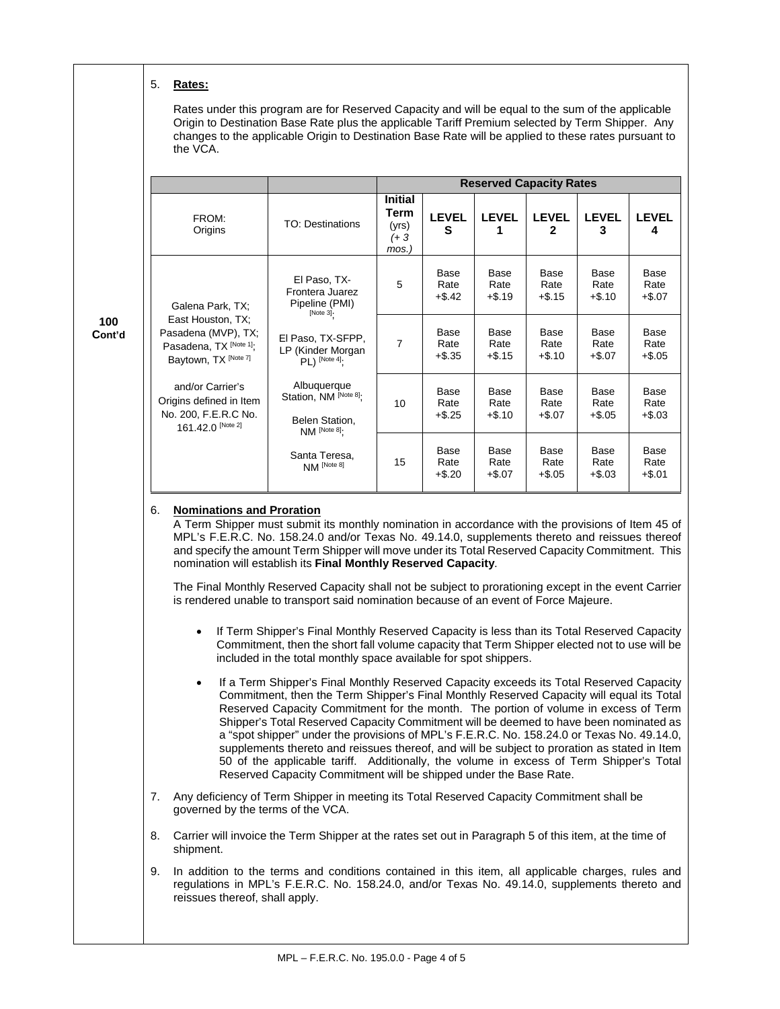#### 5. **Rates:**

**100 Cont'd** Rates under this program are for Reserved Capacity and will be equal to the sum of the applicable Origin to Destination Base Rate plus the applicable Tariff Premium selected by Term Shipper. Any changes to the applicable Origin to Destination Base Rate will be applied to these rates pursuant to the VCA.

|                                                                                                        |                                                                        | <b>Reserved Capacity Rates</b>                  |                           |                           |                              |                           |                           |
|--------------------------------------------------------------------------------------------------------|------------------------------------------------------------------------|-------------------------------------------------|---------------------------|---------------------------|------------------------------|---------------------------|---------------------------|
| FROM:<br>Origins                                                                                       | <b>TO: Destinations</b>                                                | <b>Initial</b><br>Term<br>(yrs)<br>(+ 3<br>mos. | <b>LEVEL</b><br>S         | <b>LEVEL</b><br>1         | <b>LEVEL</b><br>$\mathbf{2}$ | <b>LEVEL</b><br>3         | <b>LEVEL</b><br>4         |
| Galena Park, TX;                                                                                       | El Paso, TX-<br>Frontera Juarez<br>Pipeline (PMI)<br>[Note 3].         | 5                                               | Base<br>Rate<br>$+$ \$.42 | Base<br>Rate<br>$+ $.19$  | Base<br>Rate<br>$+$ \$.15    | Base<br>Rate<br>$+ $.10$  | Base<br>Rate<br>$+$ \$.07 |
| East Houston, TX;<br>Pasadena (MVP), TX;<br>Pasadena, TX <sup>[Note 1]</sup> ;<br>Baytown, TX [Note 7] | El Paso, TX-SFPP,<br>LP (Kinder Morgan<br>$PL)$ [Note 4];              | 7                                               | Base<br>Rate<br>$+$ \$.35 | Base<br>Rate<br>$+$ \$.15 | Base<br>Rate<br>$+$ \$.10    | Base<br>Rate<br>$+$.07$   | Base<br>Rate<br>$+$ \$.05 |
| and/or Carrier's<br>Origins defined in Item<br>No. 200, F.E.R.C No.<br>161.42.0 [Note 2]               | Albuquerque<br>Station, NM [Note 8].<br>Belen Station,<br>NM [Note 8]; | 10                                              | Base<br>Rate<br>$+$ \$.25 | Base<br>Rate<br>$+$.10$   | Base<br>Rate<br>$+$.07$      | Base<br>Rate<br>$+$ \$.05 | Base<br>Rate<br>$+$.03$   |
|                                                                                                        | Santa Teresa,<br>NM [Note 8]                                           | 15                                              | Base<br>Rate<br>$+$ \$.20 | Base<br>Rate<br>$+$.07$   | Base<br>Rate<br>$+$ \$.05    | Base<br>Rate<br>$+$.03$   | Base<br>Rate<br>$+$.01$   |

#### 6. **Nominations and Proration**

A Term Shipper must submit its monthly nomination in accordance with the provisions of Item 45 of MPL's F.E.R.C. No. 158.24.0 and/or Texas No. 49.14.0, supplements thereto and reissues thereof and specify the amount Term Shipper will move under its Total Reserved Capacity Commitment. This nomination will establish its **Final Monthly Reserved Capacity**.

The Final Monthly Reserved Capacity shall not be subject to prorationing except in the event Carrier is rendered unable to transport said nomination because of an event of Force Majeure.

- If Term Shipper's Final Monthly Reserved Capacity is less than its Total Reserved Capacity Commitment, then the short fall volume capacity that Term Shipper elected not to use will be included in the total monthly space available for spot shippers.
- If a Term Shipper's Final Monthly Reserved Capacity exceeds its Total Reserved Capacity Commitment, then the Term Shipper's Final Monthly Reserved Capacity will equal its Total Reserved Capacity Commitment for the month. The portion of volume in excess of Term Shipper's Total Reserved Capacity Commitment will be deemed to have been nominated as a "spot shipper" under the provisions of MPL's F.E.R.C. No. 158.24.0 or Texas No. 49.14.0, supplements thereto and reissues thereof, and will be subject to proration as stated in Item 50 of the applicable tariff. Additionally, the volume in excess of Term Shipper's Total Reserved Capacity Commitment will be shipped under the Base Rate.
- 7. Any deficiency of Term Shipper in meeting its Total Reserved Capacity Commitment shall be governed by the terms of the VCA.
- 8. Carrier will invoice the Term Shipper at the rates set out in Paragraph 5 of this item, at the time of shipment.
- 9. In addition to the terms and conditions contained in this item, all applicable charges, rules and regulations in MPL's F.E.R.C. No. 158.24.0, and/or Texas No. 49.14.0, supplements thereto and reissues thereof, shall apply.